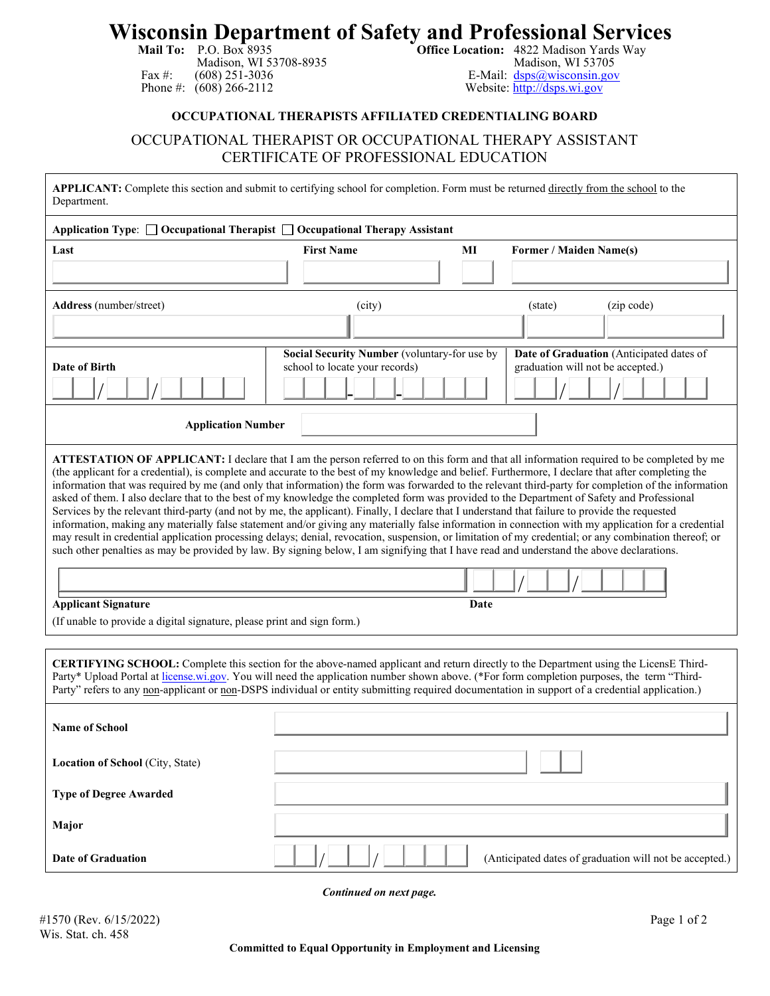## **Wisconsin Department of Safety and Professional Services**<br>Mail To: P.O. Box 8935<br>Madison, WI 53708-8935<br>Madison, WI 53705<br>Madison, WI 53705

Madison, WI 53708-8935<br>(608) 251-3036 Fax #: (608) 251-3036<br>
Phone #: (608) 266-2112<br>
Website: http://dsps.wi.gov

Website: [http://dsps.wi.gov](http://dsps.wi.gov/)

## **OCCUPATIONAL THERAPISTS AFFILIATED CREDENTIALING BOARD**

## OCCUPATIONAL THERAPIST OR OCCUPATIONAL THERAPY ASSISTANT CERTIFICATE OF PROFESSIONAL EDUCATION

| APPLICANT: Complete this section and submit to certifying school for completion. Form must be returned directly from the school to the<br>Department.                                                                                                                                                                                                                                                                                                                                                                                                                                                                                                                                                                                                                                                                                                                                                                                                                                                                                                                                                                                                                                                                                                                                                                                      |                                                                                |    |                                                                               |  |
|--------------------------------------------------------------------------------------------------------------------------------------------------------------------------------------------------------------------------------------------------------------------------------------------------------------------------------------------------------------------------------------------------------------------------------------------------------------------------------------------------------------------------------------------------------------------------------------------------------------------------------------------------------------------------------------------------------------------------------------------------------------------------------------------------------------------------------------------------------------------------------------------------------------------------------------------------------------------------------------------------------------------------------------------------------------------------------------------------------------------------------------------------------------------------------------------------------------------------------------------------------------------------------------------------------------------------------------------|--------------------------------------------------------------------------------|----|-------------------------------------------------------------------------------|--|
| Application Type: $\Box$ Occupational Therapist $\Box$ Occupational Therapy Assistant                                                                                                                                                                                                                                                                                                                                                                                                                                                                                                                                                                                                                                                                                                                                                                                                                                                                                                                                                                                                                                                                                                                                                                                                                                                      |                                                                                |    |                                                                               |  |
| Last                                                                                                                                                                                                                                                                                                                                                                                                                                                                                                                                                                                                                                                                                                                                                                                                                                                                                                                                                                                                                                                                                                                                                                                                                                                                                                                                       | <b>First Name</b>                                                              | MI | Former / Maiden Name(s)                                                       |  |
|                                                                                                                                                                                                                                                                                                                                                                                                                                                                                                                                                                                                                                                                                                                                                                                                                                                                                                                                                                                                                                                                                                                                                                                                                                                                                                                                            |                                                                                |    |                                                                               |  |
| Address (number/street)                                                                                                                                                                                                                                                                                                                                                                                                                                                                                                                                                                                                                                                                                                                                                                                                                                                                                                                                                                                                                                                                                                                                                                                                                                                                                                                    | (city)                                                                         |    | (zip code)<br>(state)                                                         |  |
|                                                                                                                                                                                                                                                                                                                                                                                                                                                                                                                                                                                                                                                                                                                                                                                                                                                                                                                                                                                                                                                                                                                                                                                                                                                                                                                                            |                                                                                |    |                                                                               |  |
| Date of Birth                                                                                                                                                                                                                                                                                                                                                                                                                                                                                                                                                                                                                                                                                                                                                                                                                                                                                                                                                                                                                                                                                                                                                                                                                                                                                                                              | Social Security Number (voluntary-for use by<br>school to locate your records) |    | Date of Graduation (Anticipated dates of<br>graduation will not be accepted.) |  |
| <b>Application Number</b>                                                                                                                                                                                                                                                                                                                                                                                                                                                                                                                                                                                                                                                                                                                                                                                                                                                                                                                                                                                                                                                                                                                                                                                                                                                                                                                  |                                                                                |    |                                                                               |  |
| ATTESTATION OF APPLICANT: I declare that I am the person referred to on this form and that all information required to be completed by me<br>(the applicant for a credential), is complete and accurate to the best of my knowledge and belief. Furthermore, I declare that after completing the<br>information that was required by me (and only that information) the form was forwarded to the relevant third-party for completion of the information<br>asked of them. I also declare that to the best of my knowledge the completed form was provided to the Department of Safety and Professional<br>Services by the relevant third-party (and not by me, the applicant). Finally, I declare that I understand that failure to provide the requested<br>information, making any materially false statement and/or giving any materially false information in connection with my application for a credential<br>may result in credential application processing delays; denial, revocation, suspension, or limitation of my credential; or any combination thereof; or<br>such other penalties as may be provided by law. By signing below, I am signifying that I have read and understand the above declarations.<br><b>Applicant Signature</b><br>Date<br>(If unable to provide a digital signature, please print and sign form.) |                                                                                |    |                                                                               |  |
| CERTIFYING SCHOOL: Complete this section for the above-named applicant and return directly to the Department using the LicensE Third-<br>Party* Upload Portal at license.wi.gov. You will need the application number shown above. (*For form completion purposes, the term "Third-<br>Party" refers to any non-applicant or non-DSPS individual or entity submitting required documentation in support of a credential application.)                                                                                                                                                                                                                                                                                                                                                                                                                                                                                                                                                                                                                                                                                                                                                                                                                                                                                                      |                                                                                |    |                                                                               |  |
| <b>Name of School</b>                                                                                                                                                                                                                                                                                                                                                                                                                                                                                                                                                                                                                                                                                                                                                                                                                                                                                                                                                                                                                                                                                                                                                                                                                                                                                                                      |                                                                                |    |                                                                               |  |
| Location of School (City, State)                                                                                                                                                                                                                                                                                                                                                                                                                                                                                                                                                                                                                                                                                                                                                                                                                                                                                                                                                                                                                                                                                                                                                                                                                                                                                                           |                                                                                |    |                                                                               |  |
| <b>Type of Degree Awarded</b>                                                                                                                                                                                                                                                                                                                                                                                                                                                                                                                                                                                                                                                                                                                                                                                                                                                                                                                                                                                                                                                                                                                                                                                                                                                                                                              |                                                                                |    |                                                                               |  |
| Major                                                                                                                                                                                                                                                                                                                                                                                                                                                                                                                                                                                                                                                                                                                                                                                                                                                                                                                                                                                                                                                                                                                                                                                                                                                                                                                                      |                                                                                |    |                                                                               |  |
| <b>Date of Graduation</b>                                                                                                                                                                                                                                                                                                                                                                                                                                                                                                                                                                                                                                                                                                                                                                                                                                                                                                                                                                                                                                                                                                                                                                                                                                                                                                                  |                                                                                |    | (Anticipated dates of graduation will not be accepted.)                       |  |

 *Continued on next page.*